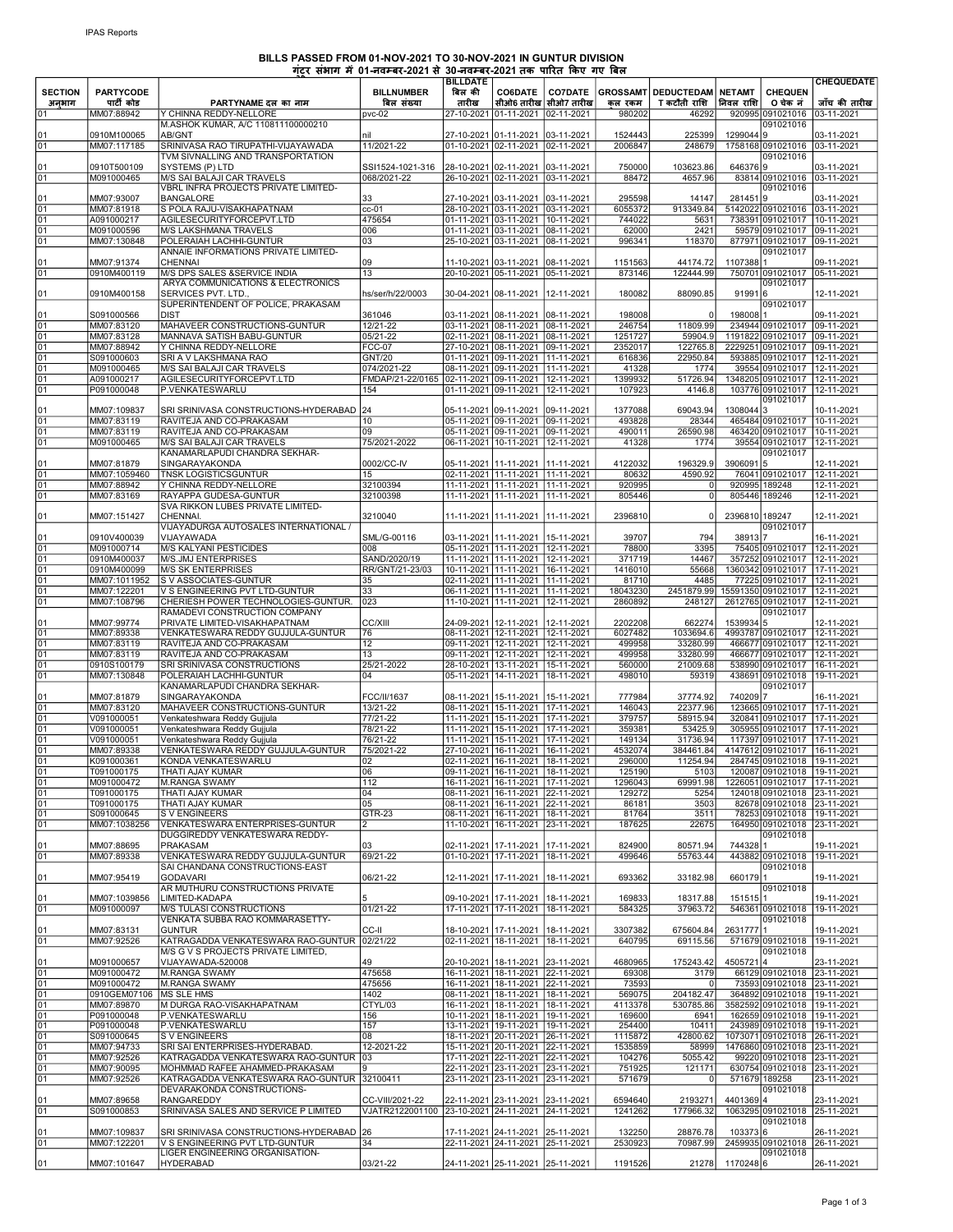## BILLS PASSED FROM 01-NOV-2021 TO 30-NOV-2021 IN GUNTUR DIVISION

|                |                            |                                                                            | गटर सभाग मे 01-नवम्बर-2021 से 30-नवम्बर-2021 तक पारित किए गए बिल |                           |                                                                      |                          |                   |                       |                |                                                              | <b>CHEQUEDATE</b>        |
|----------------|----------------------------|----------------------------------------------------------------------------|------------------------------------------------------------------|---------------------------|----------------------------------------------------------------------|--------------------------|-------------------|-----------------------|----------------|--------------------------------------------------------------|--------------------------|
| <b>SECTION</b> | <b>PARTYCODE</b>           |                                                                            | <b>BILLNUMBER</b>                                                | <b>BILLDATE</b><br>बिल की | <b>CO6DATE</b>                                                       | <b>CO7DATE</b>           | <b>GROSSAMT</b>   | DEDUCTEDAM NETAMT     |                | <b>CHEQUEN</b>                                               |                          |
| अनुभाग         | पार्टी कोड                 | PARTYNAME दल का नाम                                                        | बिल संख्या                                                       | तारीख                     | सीओ6 तारीख                                                           | सीओ7 तारीख               | कल रकम            | T कटौती राशि          | निवल राशि      | 0 चेक नं                                                     | जॉच की तारीख             |
| 01             | MM07:88942                 | Y CHINNA REDDY-NELLORE                                                     | pvc-02                                                           |                           | 27-10-2021 01-11-2021 02-11-2021                                     |                          | 980202            | 46292                 |                | 920995 091021016                                             | 03-11-2021               |
|                |                            | M.ASHOK KUMAR, A/C 110811100000210                                         |                                                                  |                           |                                                                      |                          |                   |                       |                | 091021016                                                    |                          |
| 01             | 0910M100065                | AB/GNT                                                                     | nil                                                              |                           | 27-10-2021 01-11-2021                                                | 03-11-2021               | 1524443           | 225399                | 1299044 9      |                                                              | 03-11-2021               |
| 01             | MM07:117185                | SRINIVASA RAO TIRUPATHI-VIJAYAWADA                                         | 11/2021-22                                                       |                           | 01-10-2021 02-11-2021 02-11-2021                                     |                          | 2006847           | 248679                |                | 1758168 091021016 03-11-2021                                 |                          |
|                |                            | TVM SIVNALLING AND TRANSPORTATION                                          |                                                                  |                           |                                                                      |                          |                   |                       |                | 091021016                                                    |                          |
| 01             | 0910T500109                | SYSTEMS (P) LTD                                                            | SSI1524-1021-316<br>068/2021-22                                  |                           | 28-10-2021 02-11-2021 03-11-2021                                     |                          | 750000            | 103623.86             | 6463769        |                                                              | 03-11-2021               |
| 01             | M091000465                 | M/S SAI BALAJI CAR TRAVELS<br>VBRL INFRA PROJECTS PRIVATE LIMITED-         |                                                                  |                           | 26-10-2021 02-11-2021 03-11-2021                                     |                          | 88472             | 4657.96               |                | 83814 091021016<br>091021016                                 | 03-11-2021               |
| 01             | MM07:93007                 | <b>BANGALORE</b>                                                           | 33                                                               |                           | 27-10-2021 03-11-2021 03-11-2021                                     |                          | 295598            | 14147                 | 2814519        |                                                              | 03-11-2021               |
| 01             | MM07:81918                 | S POLA RAJU-VISAKHAPATNAM                                                  | $cc-01$                                                          |                           | 28-10-2021 03-11-2021 03-11-2021                                     |                          | 6055372           | 913349.84             |                | 5142022 091021016 03-11-2021                                 |                          |
| 01             | A091000217                 | AGILESECURITYFORCEPVT.LTD                                                  | 475654                                                           |                           | 01-11-2021 03-11-2021 10-11-2021                                     |                          | 744022            | 5631                  |                | 738391 091021017 10-11-2021                                  |                          |
| 01             | M091000596                 | <b>M/S LAKSHMANA TRAVELS</b>                                               | 006                                                              |                           | 01-11-2021 03-11-2021 08-11-2021                                     |                          | 62000             | 2421                  |                | 59579 091021017 09-11-2021                                   |                          |
| 01             | MM07:130848                | POLERAIAH LACHHI-GUNTUR                                                    | 03                                                               |                           | 25-10-2021 03-11-2021                                                | 08-11-2021               | 996341            | 118370                |                | 877971 091021017 09-11-2021                                  |                          |
|                |                            | ANNAIE INFORMATIONS PRIVATE LIMITED-                                       |                                                                  |                           |                                                                      |                          |                   |                       |                | 091021017                                                    |                          |
| 01<br>01       | MM07:91374<br>0910M400119  | CHENNAI<br>M/S DPS SALES & SERVICE INDIA                                   | 09<br>13                                                         |                           | 11-10-2021 03-11-2021<br>20-10-2021 05-11-2021 05-11-2021            | 08-11-2021               | 1151563<br>873146 | 44174.72<br>122444.99 | 11073881       | 750701 091021017                                             | 09-11-2021<br>05-11-2021 |
|                |                            | ARYA COMMUNICATIONS & ELECTRONICS                                          |                                                                  |                           |                                                                      |                          |                   |                       |                | 091021017                                                    |                          |
| 01             | 0910M400158                | SERVICES PVT. LTD.                                                         | hs/ser/h/22/0003                                                 |                           | 30-04-2021 08-11-2021                                                | 12-11-2021               | 180082            | 88090.85              | 91991 6        |                                                              | 12-11-2021               |
|                |                            | SUPERINTENDENT OF POLICE, PRAKASAM                                         |                                                                  |                           |                                                                      |                          |                   |                       |                | 091021017                                                    |                          |
| 01             | S091000566                 | <b>DIST</b>                                                                | 361046                                                           |                           | 03-11-2021 08-11-2021 08-11-2021                                     |                          | 198008            |                       | 198008 1       |                                                              | 09-11-2021               |
| 01             | MM07:83120                 | MAHAVEER CONSTRUCTIONS-GUNTUR                                              | 12/21-22                                                         |                           | 03-11-2021 08-11-2021 08-11-2021                                     |                          | 246754            | 11809.99              |                | 234944 091021017                                             | 09-11-2021               |
| 01             | MM07:83128                 | MANNAVA SATISH BABU-GUNTUR                                                 | 05/21-22                                                         |                           | 02-11-2021 08-11-2021 08-11-2021                                     |                          | 1251727           | 59904.9               |                | 1191822 091021017 09-11-2021                                 |                          |
| 01             | MM07:88942                 | Y CHINNA REDDY-NELLORE                                                     | <b>FCC-07</b>                                                    |                           | 27-10-2021 08-11-2021 09-11-2021                                     |                          | 2352017           | 122765.8              |                | 2229251 091021017 09-11-2021                                 |                          |
| 01<br>01       | S091000603<br>M091000465   | SRI A V LAKSHMANA RAO<br>M/S SAI BALAJI CAR TRAVELS                        | <b>GNT/20</b><br>074/2021-22                                     |                           | 01-11-2021 09-11-2021 11-11-2021<br>08-11-2021 09-11-2021 11-11-2021 |                          | 616836<br>41328   | 22950.84<br>1774      |                | 593885 091021017 12-11-2021<br>39554 091021017 12-11-2021    |                          |
| 01             | A091000217                 | AGILESECURITYFORCEPVT.LTD                                                  | FMDAP/21-22/0165 02-11-2021 09-11-2021 12-11-2021                |                           |                                                                      |                          | 1399932           | 51726.94              |                | 1348205 091021017 12-11-2021                                 |                          |
| 01             | P091000048                 | P.VENKATESWARLU                                                            | 154                                                              |                           | 01-11-2021 09-11-2021                                                | 12-11-2021               | 107923            | 4146.8                |                | 103776 091021017 12-11-2021                                  |                          |
|                |                            |                                                                            |                                                                  |                           |                                                                      |                          |                   |                       |                | 091021017                                                    |                          |
| 01             | MM07:109837                | SRI SRINIVASA CONSTRUCTIONS-HYDERABAD                                      | 24                                                               | 05-11-2021 09-11-2021     |                                                                      | 09-11-2021               | 1377088           | 69043.94              | 13080443       |                                                              | 10-11-2021               |
| 01             | MM07:83119                 | RAVITEJA AND CO-PRAKASAM                                                   | 10                                                               |                           | 05-11-2021 09-11-2021 09-11-2021                                     |                          | 493828            | 28344                 |                | 465484 091021017                                             | 10-11-2021               |
| 01             | MM07:83119                 | RAVITEJA AND CO-PRAKASAM                                                   | 09                                                               |                           | 05-11-2021 09-11-2021 09-11-2021                                     |                          | 490011            | 26590.98              |                | 463420 091021017                                             | 10-11-2021               |
| 01             | M091000465                 | M/S SAI BALAJI CAR TRAVELS                                                 | 75/2021-2022                                                     |                           | 06-11-2021 10-11-2021 12-11-2021                                     |                          | 41328             | 1774                  |                | 39554 091021017                                              | 12-11-2021               |
|                | MM07:81879                 | KANAMARLAPUDI CHANDRA SEKHAR-<br>SINGARAYAKONDA                            | 0002/CC-IV                                                       |                           | 05-11-2021 11-11-2021                                                |                          | 4122032           | 196329.9              | 3906091        | 091021017<br>l5                                              | 12-11-2021               |
| 01<br>01       | MM07:1059460               | <b>TNSK LOGISTICSGUNTUR</b>                                                | 15                                                               |                           | 02-11-2021 11-11-2021 11-11-2021                                     | 11-11-2021               | 80632             | 4590.92               |                | 76041 091021017 12-11-2021                                   |                          |
| 01             | MM07:88942                 | Y CHINNA REDDY-NELLORE                                                     | 32100394                                                         |                           | 11-11-2021 11-11-2021 11-11-2021                                     |                          | 920995            | $\Omega$              |                | 920995 189248                                                | 12-11-2021               |
| 01             | MM07:83169                 | RAYAPPA GUDESA-GUNTUR                                                      | 32100398                                                         |                           | 11-11-2021 11-11-2021 11-11-2021                                     |                          | 805446            | $\mathbf{0}$          | 805446 189246  |                                                              | 12-11-2021               |
|                |                            | SVA RIKKON LUBES PRIVATE LIMITED-                                          |                                                                  |                           |                                                                      |                          |                   |                       |                |                                                              |                          |
| 01             | MM07:151427                | CHENNAI.                                                                   | 3210040                                                          |                           | 11-11-2021 11-11-2021                                                | 11-11-2021               | 2396810           | $\mathbf{0}$          | 2396810 189247 |                                                              | 12-11-2021               |
|                |                            | VIJAYADURGA AUTOSALES INTERNATIONAL /                                      |                                                                  |                           |                                                                      |                          |                   |                       |                | 091021017                                                    |                          |
| 01             | 0910V400039                | VIJAYAWADA                                                                 | SML/G-00116                                                      | 03-11-2021 11-11-2021     |                                                                      | 15-11-2021               | 39707             | 794                   | 38913 7        |                                                              | 16-11-2021               |
| 01             | M091000714                 | M/S KALYANI PESTICIDES                                                     | 008                                                              |                           | 05-11-2021 11-11-2021 12-11-2021                                     |                          | 78800             | 3395                  |                | 75405 091021017 12-11-2021                                   |                          |
| 01<br>01       | 0910M400037<br>0910M400099 | M/S.JMJ ENTERPRISES<br><b>M/S SK ENTERPRISES</b>                           | SAND/2020/19<br>RR/GNT/21-23/03                                  |                           | 11-11-2021 11-11-2021 12-11-2021<br>10-11-2021 11-11-2021 16-11-2021 |                          | 371719<br>1416010 | 14467<br>55668        |                | 357252 091021017 12-11-2021<br>1360342 091021017 17-11-2021  |                          |
| 01             | MM07:1011952               | S V ASSOCIATES-GUNTUR                                                      | 35                                                               |                           | 02-11-2021 11-11-2021 11-11-2021                                     |                          | 81710             | 4485                  |                | 77225 091021017 12-11-2021                                   |                          |
| 01             | MM07:122201                | V S ENGINEERING PVT LTD-GUNTUR                                             | 33                                                               |                           | 06-11-2021 11-11-2021 11-11-2021                                     |                          | 18043230          | 2451879.99            |                | 15591350 091021017 12-11-2021                                |                          |
| 01             | MM07:108796                | CHERIESH POWER TECHNOLOGIES-GUNTUR.                                        | 023                                                              |                           | 11-10-2021 11-11-2021 12-11-2021                                     |                          | 2860892           | 248127                |                | 2612765 091021017 12-11-2021                                 |                          |
|                |                            | RAMADEVI CONSTRUCTION COMPANY                                              |                                                                  |                           |                                                                      |                          |                   |                       |                | 091021017                                                    |                          |
| 01             | MM07:99774                 | PRIVATE LIMITED-VISAKHAPATNAM                                              | CC/XIII                                                          |                           | 24-09-2021 12-11-2021                                                | 12-11-2021               | 2202208           | 662274                | 1539934 5      |                                                              | 12-11-2021               |
| 01             | MM07:89338                 | VENKATESWARA REDDY GUJJULA-GUNTUR                                          | 76                                                               |                           | 08-11-2021 12-11-2021 12-11-2021                                     |                          | 6027482           | 1033694.6             |                | 4993787 091021017 12-11-2021                                 |                          |
| 01             | MM07:83119                 | RAVITEJA AND CO-PRAKASAM                                                   | 12<br>13                                                         |                           | 09-11-2021 12-11-2021 12-11-2021                                     |                          | 499958            | 33280.99              |                | 466677 091021017 12-11-2021                                  |                          |
| 01<br>01       | MM07:83119<br>0910S100179  | RAVITEJA AND CO-PRAKASAM<br>SRI SRINIVASA CONSTRUCTIONS                    | 25/21-2022                                                       |                           | 09-11-2021 12-11-2021 12-11-2021<br>28-10-2021 13-11-2021 15-11-2021 |                          | 499958<br>560000  | 33280.99<br>21009.68  |                | 466677 091021017 12-11-2021<br>538990 091021017 16-11-2021   |                          |
| 01             | MM07:130848                | POLERAIAH LACHHI-GUNTUR                                                    | 04                                                               |                           | 05-11-2021 14-11-2021 18-11-2021                                     |                          | 498010            | 59319                 |                | 438691 091021018 19-11-2021                                  |                          |
|                |                            | KANAMARLAPUDI CHANDRA SEKHAR-                                              |                                                                  |                           |                                                                      |                          |                   |                       |                | 091021017                                                    |                          |
| 01             | MM07:81879                 | SINGARAYAKONDA                                                             | FCC/II/1637                                                      |                           | 08-11-2021 15-11-2021                                                | 15-11-2021               | 777984            | 37774.92              | 740209 7       |                                                              | 16-11-2021               |
| 01             | MM07:83120                 | MAHAVEER CONSTRUCTIONS-GUNTUR                                              | 13/21-22                                                         |                           | 08-11-2021 15-11-2021 17-11-2021                                     |                          | 146043            | 22377.96              |                | 123665 091021017 17-11-2021                                  |                          |
| 01             | V091000051                 | Venkateshwara Reddy Gujjula                                                | 77/21-22                                                         |                           | 11-11-2021 15-11-2021 17-11-2021                                     |                          | 379757            | 58915.94              |                | 320841 091021017 17-11-2021                                  |                          |
| 01             | V091000051<br>V091000051   | Venkateshwara Reddy Gujjula                                                | 78/21-22                                                         |                           | 11-11-2021 15-11-2021 17-11-2021                                     |                          | 359381            | 53425.9               |                | 305955 091021017 17-11-2021                                  |                          |
| 01<br>01       | MM07:89338                 | Venkateshwara Reddy Gujjula<br>VENKATESWARA REDDY GUJJULA-GUNTUR           | 76/21-22<br>75/2021-22                                           |                           | 11-11-2021 15-11-2021 17-11-2021<br>27-10-2021 16-11-2021 16-11-2021 |                          | 149134<br>4532074 | 31736.94<br>384461.84 |                | 117397 091021017 17-11-2021<br>4147612 091021017 16-11-2021  |                          |
| 01             | K091000361                 | KONDA VENKATESWARLU                                                        | 02                                                               |                           | 02-11-2021 16-11-2021 18-11-2021                                     |                          | 296000            | 11254.94              |                | 284745 091021018 19-11-2021                                  |                          |
| 01             | T091000175                 | THATI AJAY KUMAR                                                           | 06                                                               |                           | 09-11-2021   16-11-2021   18-11-2021                                 |                          | 125190            | 5103                  |                | 120087 091021018 19-11-2021                                  |                          |
| 01             | M091000472                 | <b>M.RANGA SWAMY</b>                                                       | 112                                                              |                           | 16-11-2021 16-11-2021 17-11-2021                                     |                          | 1296043           | 69991.98              |                | 1226051 091021017 17-11-2021                                 |                          |
| 01             | T091000175                 | <b>THATI AJAY KUMAR</b>                                                    | 04                                                               |                           | 08-11-2021 16-11-2021 22-11-2021                                     |                          | 129272            | 5254                  |                | 124018 091021018 23-11-2021                                  |                          |
| 01             | T091000175                 | THATI AJAY KUMAR                                                           | $\overline{05}$                                                  |                           | 08-11-2021 16-11-2021 22-11-2021                                     |                          | 86181             | 3503                  |                | 82678 091021018 23-11-2021                                   |                          |
| 01             | S091000645                 | <b>SV ENGINEERS</b>                                                        | GTR-23                                                           |                           | 08-11-2021 16-11-2021 18-11-2021                                     |                          | 81764             | 3511                  |                | 78253 091021018 19-11-2021                                   |                          |
| 01             | MM07:1038256               | VENKATESWARA ENTERPRISES-GUNTUR                                            | $\overline{2}$                                                   |                           | 11-10-2021 16-11-2021 23-11-2021                                     |                          | 187625            | 22675                 |                | 164950 091021018 23-11-2021                                  |                          |
| 01             | MM07:88695                 | DUGGIREDDY VENKATESWARA REDDY-<br>PRAKASAM                                 | 03                                                               |                           | 02-11-2021 17-11-2021                                                | 17-11-2021               | 824900            | 80571.94              | 744328 1       | 091021018                                                    | 19-11-2021               |
| 01             | MM07:89338                 | VENKATESWARA REDDY GUJJULA-GUNTUR                                          | 69/21-22                                                         |                           | 01-10-2021 17-11-2021                                                | 18-11-2021               | 499646            | 55763.44              |                | 443882 091021018 19-11-2021                                  |                          |
|                |                            | SAI CHANDANA CONSTRUCTIONS-EAST                                            |                                                                  |                           |                                                                      |                          |                   |                       |                | 091021018                                                    |                          |
| 01             | MM07:95419                 | <b>GODAVARI</b>                                                            | 06/21-22                                                         |                           | 12-11-2021 17-11-2021                                                | 18-11-2021               | 693362            | 33182.98              | 6601791        |                                                              | 19-11-2021               |
|                |                            | AR MUTHURU CONSTRUCTIONS PRIVATE                                           |                                                                  |                           |                                                                      |                          |                   |                       |                | 091021018                                                    |                          |
| 01             | MM07:1039856               | LIMITED-KADAPA                                                             |                                                                  |                           | 09-10-2021 17-11-2021                                                | 18-11-2021               | 169833            | 18317.88              | 1515151        |                                                              | 19-11-2021               |
| 01             | M091000097                 | <b>M/S TULASI CONSTRUCTIONS</b>                                            | 01/21-22                                                         |                           | 17-11-2021 17-11-2021 18-11-2021                                     |                          | 584325            | 37963.72              |                | 546361 091021018                                             | 19-11-2021               |
|                | MM07:83131                 | VENKATA SUBBA RAO KOMMARASETTY-<br><b>GUNTUR</b>                           |                                                                  |                           |                                                                      |                          |                   |                       |                | 091021018                                                    |                          |
| 01<br>01       | MM07:92526                 | KATRAGADDA VENKATESWARA RAO-GUNTUR 02/21/22                                | CC-II                                                            |                           | 18-10-2021 17-11-2021<br>02-11-2021 18-11-2021                       | 18-11-2021<br>18-11-2021 | 3307382<br>640795 | 675604.84<br>69115.56 | 26317771       | 571679 091021018 19-11-2021                                  | 19-11-2021               |
|                |                            | M/S G V S PROJECTS PRIVATE LIMITED,                                        |                                                                  |                           |                                                                      |                          |                   |                       |                | 091021018                                                    |                          |
| 01             | M091000657                 | VIJAYAWADA-520008                                                          | 49                                                               |                           | 20-10-2021   18-11-2021                                              | 23-11-2021               | 4680965           | 175243.42             | 45057214       |                                                              | 23-11-2021               |
| 01             | M091000472                 | M.RANGA SWAMY                                                              | 475658                                                           |                           | 16-11-2021   18-11-2021   22-11-2021                                 |                          | 69308             | 3179                  |                | 66129 091021018 23-11-2021                                   |                          |
| 01             | M091000472                 | M.RANGA SWAMY                                                              | 475656                                                           |                           | 16-11-2021 18-11-2021 22-11-2021                                     |                          | 73593             | $\Omega$              |                | 73593 091021018 23-11-2021                                   |                          |
| 01             | 0910GEM07106               | MS SLE HMS                                                                 | 1402                                                             |                           | 08-11-2021 18-11-2021 18-11-2021                                     |                          | 569075            | 204182.47             |                | 364892 091021018 19-11-2021                                  |                          |
| 01             | MM07:89870                 | M DURGA RAO-VISAKHAPATNAM                                                  | CTYL/03                                                          |                           | 16-11-2021   18-11-2021   18-11-2021                                 |                          | 4113378           | 530785.86             |                | 3582592 091021018 19-11-2021                                 |                          |
| 01             | P091000048                 | P.VENKATESWARLU                                                            | 156                                                              |                           | 10-11-2021   18-11-2021   19-11-2021                                 |                          | 169600            | 6941                  |                | 162659 091021018 19-11-2021                                  |                          |
| 01<br>01       | P091000048                 | P.VENKATESWARLU                                                            | 157                                                              |                           | 13-11-2021 19-11-2021 19-11-2021                                     |                          | 254400<br>1115872 | 10411                 |                | 243989 091021018 19-11-2021                                  |                          |
| 01             | S091000645<br>MM07:94733   | <b>SVENGINEERS</b><br>SRI SAI ENTERPRISES-HYDERABAD.                       | 08<br>12-2021-22                                                 |                           | 18-11-2021 20-11-2021 26-11-2021<br>15-11-2021 20-11-2021 22-11-2021 |                          | 1535859           | 42800.62<br>58999     |                | 1073071 091021018 26-11-2021<br>1476860 091021018 23-11-2021 |                          |
| 01             | MM07:92526                 | KATRAGADDA VENKATESWARA RAO-GUNTUR                                         | 03                                                               |                           | 17-11-2021 22-11-2021 22-11-2021                                     |                          | 104276            | 5055.42               |                | 99220 091021018 23-11-2021                                   |                          |
| 01             | MM07:90095                 | MOHMMAD RAFEE AHAMMED-PRAKASAM                                             | g                                                                |                           | 22-11-2021 23-11-2021 23-11-2021                                     |                          | 751925            | 121171                |                | 630754 091021018 23-11-2021                                  |                          |
| 01             | MM07:92526                 | KATRAGADDA VENKATESWARA RAO-GUNTUR 32100411                                |                                                                  |                           | 23-11-2021 23-11-2021 23-11-2021                                     |                          | 571679            | $\Omega$              | 571679 189258  |                                                              | 23-11-2021               |
|                |                            | DEVARAKONDA CONSTRUCTIONS-                                                 |                                                                  |                           |                                                                      |                          |                   |                       |                | 091021018                                                    |                          |
| 01             | MM07:89658                 | <b>RANGAREDDY</b>                                                          | CC-VIII/2021-22                                                  |                           | 22-11-2021 23-11-2021 23-11-2021                                     |                          | 6594640           | 2193271               | 44013694       |                                                              | 23-11-2021               |
| 01             | S091000853                 | SRINIVASA SALES AND SERVICE P LIMITED                                      | VJATR2122001100                                                  |                           | 23-10-2021 24-11-2021 24-11-2021                                     |                          | 1241262           | 177966.32             |                | 1063295 091021018                                            | 25-11-2021               |
|                |                            |                                                                            |                                                                  |                           |                                                                      |                          |                   |                       |                | 091021018                                                    |                          |
| 01<br>01       | MM07:109837<br>MM07:122201 | SRI SRINIVASA CONSTRUCTIONS-HYDERABAD 26<br>V S ENGINEERING PVT LTD-GUNTUR | 34                                                               |                           | 17-11-2021 24-11-2021 25-11-2021<br>22-11-2021 24-11-2021 25-11-2021 |                          | 132250<br>2530923 | 28876.78<br>70987.99  | 103373 6       | 2459935091021018                                             | 26-11-2021<br>26-11-2021 |
|                |                            | LIGER ENGINEERING ORGANISATION-                                            |                                                                  |                           |                                                                      |                          |                   |                       |                | 091021018                                                    |                          |
| 01             | MM07:101647                | <b>HYDERABAD</b>                                                           | 03/21-22                                                         |                           | 24-11-2021 25-11-2021 25-11-2021                                     |                          | 1191526           | 21278                 | 1170248 6      |                                                              | 26-11-2021               |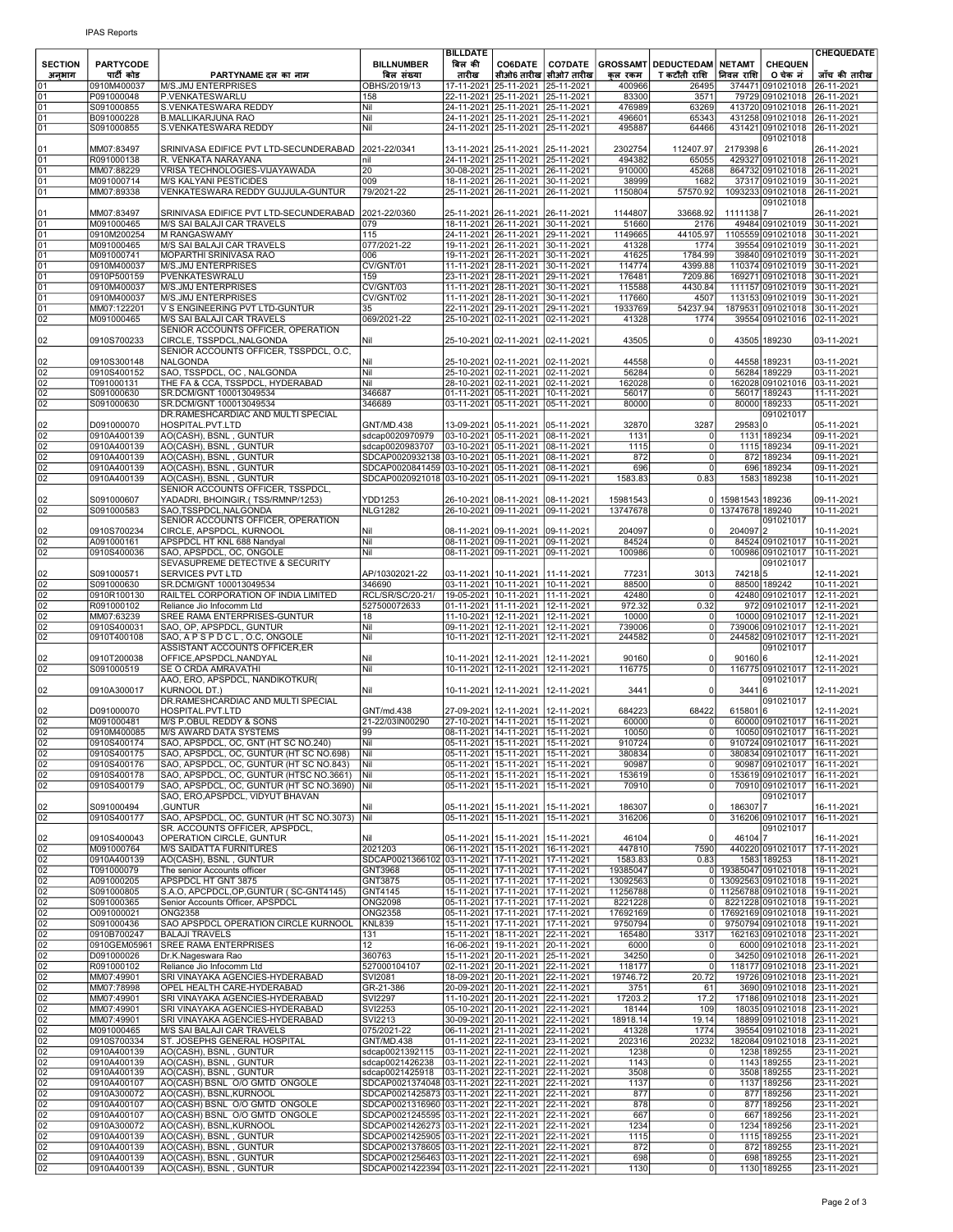| <b>SECTION</b>                     | <b>PARTYCODE</b>           |                                                                                         | <b>BILLNUMBER</b>                                                                                    | <b>BILLDATE</b><br>बिल की | <b>CO6DATE</b>                                                           | <b>CO7DATE</b>                       |                      | <b>GROSSAMT DEDUCTEDAM NETAMT</b> |                                      | <b>CHEQUEN</b>                                                     | <b>CHEQUEDATE</b>        |
|------------------------------------|----------------------------|-----------------------------------------------------------------------------------------|------------------------------------------------------------------------------------------------------|---------------------------|--------------------------------------------------------------------------|--------------------------------------|----------------------|-----------------------------------|--------------------------------------|--------------------------------------------------------------------|--------------------------|
| अनभाग<br>01                        | पार्टी कोड<br>0910M400037  | PARTYNAME दल का नाम<br>M/S.JMJ ENTERPRISES                                              | बिल संख्या<br>OBHS/2019/13                                                                           | तारीख                     | 17-11-2021 25-11-2021                                                    | सीओ6 तारीख  सीओ7 तारीख<br>25-11-2021 | कल रकम<br>400966     | T कटौती राशि<br>26495             | निवल राशि                            | 0 चेक नं<br>374471 091021018 26-11-2021                            | जॉच की तारीख             |
| 01                                 | P091000048                 | P.VENKATESWARLU                                                                         | 158                                                                                                  |                           | 22-11-2021 25-11-2021 25-11-2021                                         |                                      | 83300                | 3571                              |                                      | 79729 091021018 26-11-2021                                         |                          |
| 01<br>01                           | S091000855<br>B091000228   | S.VENKATESWARA REDDY<br><b>B.MALLIKARJUNA RAO</b>                                       | Nil<br>Nil                                                                                           |                           | 24-11-2021 25-11-2021 25-11-2021<br>24-11-2021 25-11-2021 25-11-2021     |                                      | 476989<br>496601     | 63269<br>65343                    |                                      | 413720 091021018 26-11-2021<br>431258 091021018 26-11-2021         |                          |
| 01                                 | S091000855                 | S.VENKATESWARA REDDY                                                                    | Nil                                                                                                  |                           | 24-11-2021 25-11-2021 25-11-2021                                         |                                      | 495887               | 64466                             |                                      | 431421 091021018 26-11-2021<br>091021018                           |                          |
| 01                                 | MM07:83497                 | SRINIVASA EDIFICE PVT LTD-SECUNDERABAD                                                  | 2021-22/0341                                                                                         |                           | 13-11-2021 25-11-2021                                                    | 25-11-2021                           | 2302754              | 112407.97                         | 21793986                             |                                                                    | 26-11-2021               |
| 01<br>$\overline{01}$              | R091000138<br>MM07:88229   | R. VENKATA NARAYANA<br>VRISA TECHNOLOGIES-VIJAYAWADA                                    | nil<br>20                                                                                            |                           | 24-11-2021 25-11-2021<br>30-08-2021 25-11-2021                           | 25-11-2021<br>26-11-2021             | 494382<br>910000     | 65055<br>45268                    |                                      | 429327 091021018 26-11-2021<br>864732 091021018 26-11-2021         |                          |
| 01                                 | M091000714                 | <b>M/S KALYANI PESTICIDES</b>                                                           | 009                                                                                                  |                           | 18-11-2021 26-11-2021                                                    | 30-11-2021                           | 38999                | 1682                              |                                      | 37317 091021019 30-11-2021                                         |                          |
| 01                                 | MM07:89338                 | VENKATESWARA REDDY GUJJULA-GUNTUR                                                       | 79/2021-22                                                                                           |                           | 25-11-2021 26-11-2021                                                    | 26-11-2021                           | 1150804              | 57570.92                          |                                      | 1093233 091021018 26-11-2021<br>091021018                          |                          |
| 01<br>01                           | MM07:83497<br>M091000465   | SRINIVASA EDIFICE PVT LTD-SECUNDERABAD<br>M/S SAI BALAJI CAR TRAVELS                    | 2021-22/0360<br>079                                                                                  |                           | 25-11-2021 26-11-2021 26-11-2021<br>18-11-2021 26-11-2021 30-11-2021     |                                      | 1144807<br>51660     | 33668.92<br>2176                  | 11111387                             | 49484 091021019 30-11-2021                                         | 26-11-2021               |
| $\overline{01}$                    | 0910M200254                | M RANGASWAMY                                                                            | 115                                                                                                  |                           | 24-11-2021 26-11-2021                                                    | 29-11-2021                           | 1149665              | 44105.97                          |                                      | 1105559 091021018 30-11-2021                                       |                          |
| 01<br>$\overline{01}$              | M091000465<br>M091000741   | M/S SAI BALAJI CAR TRAVELS<br>MOPARTHI SRINIVASA RAO                                    | 077/2021-22<br>006                                                                                   |                           | 19-11-2021 26-11-2021 30-11-2021<br>19-11-2021 26-11-2021                | 30-11-2021                           | 41328<br>41625       | 1774<br>1784.99                   |                                      | 39554 091021019 30-11-2021<br>39840 091021019 30-11-2021           |                          |
| 01                                 | 0910M400037                | M/S.JMJ ENTERPRISES                                                                     | CV/GNT/01                                                                                            |                           | 11-11-2021 28-11-2021                                                    | 30-11-2021                           | 114774               | 4399.88                           |                                      | 110374 091021019 30-11-2021                                        |                          |
| $\frac{01}{01}$                    | 0910P500159<br>0910M400037 | PVENKATESWRALU<br>M/S.JMJ ENTERPRISES                                                   | 159<br>CV/GNT/03                                                                                     |                           | 23-11-2021 28-11-2021 29-11-2021<br>11-11-2021 28-11-2021                | 30-11-2021                           | 176481<br>115588     | 7209.86<br>4430.84                |                                      | 169271 091021018 30-11-2021<br>111157 091021019 30-11-2021         |                          |
| 01<br>01                           | 0910M400037<br>MM07:122201 | M/S.JMJ ENTERPRISES<br>V S ENGINEERING PVT LTD-GUNTUR                                   | CV/GNT/02<br>35                                                                                      |                           | 11-11-2021 28-11-2021<br>22-11-2021 29-11-2021                           | 30-11-2021<br>29-11-2021             | 117660<br>1933769    | 4507<br>54237.94                  |                                      | 113153 091021019 30-11-2021<br>1879531 091021018 30-11-2021        |                          |
| $\overline{02}$                    | M091000465                 | M/S SAI BALAJI CAR TRAVELS                                                              | 069/2021-22                                                                                          |                           | 25-10-2021 02-11-2021 02-11-2021                                         |                                      | 41328                | 1774                              |                                      | 39554 091021016 02-11-2021                                         |                          |
| 02                                 | 0910S700233                | SENIOR ACCOUNTS OFFICER, OPERATION<br>CIRCLE, TSSPDCL, NALGONDA                         | Nil                                                                                                  |                           | 25-10-2021 02-11-2021                                                    | 02-11-2021                           | 43505                | $\mathbf{0}$                      |                                      | 43505 189230                                                       | 03-11-2021               |
| 02                                 | 0910S300148                | SENIOR ACCOUNTS OFFICER, TSSPDCL, O.C,<br>NALGONDA                                      | Nil                                                                                                  |                           | 25-10-2021 02-11-2021                                                    | 02-11-2021                           | 44558                | $\mathbf{0}$                      |                                      | 44558 189231                                                       | 03-11-2021               |
| $\overline{02}$                    | 0910S400152                | SAO, TSSPDCL, OC, NALGONDA                                                              | Nil                                                                                                  |                           | 25-10-2021 02-11-2021 02-11-2021                                         |                                      | 56284                | 0                                 |                                      | 56284 189229                                                       | 03-11-2021               |
| 02<br>02                           | T091000131<br>S091000630   | THE FA & CCA, TSSPDCL, HYDERABAD<br>SR.DCM/GNT 100013049534                             | Nil<br>346687                                                                                        |                           | 28-10-2021 02-11-2021 02-11-2021<br>01-11-2021 05-11-2021 10-11-2021     |                                      | 162028<br>56017      | <sup>0</sup><br>$\mathbf 0$       |                                      | 162028 091021016<br>56017 189243                                   | 03-11-2021<br>11-11-2021 |
| 02                                 | S091000630                 | SR.DCM/GNT 100013049534                                                                 | 346689                                                                                               |                           | 03-11-2021 05-11-2021 05-11-2021                                         |                                      | 80000                | 0                                 |                                      | 80000 189233                                                       | 05-11-2021               |
| 02                                 | D091000070                 | DR.RAMESHCARDIAC AND MULTI SPECIAL<br>HOSPITAL.PVT.LTD                                  | GNT/MD.438                                                                                           |                           | 13-09-2021 05-11-2021                                                    | 05-11-2021                           | 32870                | 3287                              | 295830                               | 091021017                                                          | 05-11-2021               |
| $\frac{02}{02}$                    | 0910A400139<br>0910A400139 | AO(CASH), BSNL, GUNTUR<br>AO(CASH), BSNL, GUNTUR                                        | sdcap0020970979<br>sdcap0020983707                                                                   |                           | 03-10-2021 05-11-2021 08-11-2021<br>03-10-2021 05-11-2021 08-11-2021     |                                      | 1131<br>1115         | 0<br>0l                           |                                      | 1131 189234<br>1115 189234                                         | 09-11-2021<br>09-11-2021 |
| 02                                 | 0910A400139                | AO(CASH), BSNL, GUNTUR                                                                  | SDCAP0020932138 03-10-2021 05-11-2021 08-11-2021                                                     |                           |                                                                          |                                      | 872                  | 0l                                |                                      | 872 189234                                                         | 09-11-2021               |
| 02<br>$\overline{02}$              | 0910A400139<br>0910A400139 | AO(CASH), BSNL, GUNTUR<br>AO(CASH), BSNL, GUNTUR                                        | SDCAP0020841459 03-10-2021 05-11-2021<br>SDCAP0020921018 03-10-2021 05-11-2021 09-11-2021            |                           |                                                                          | 08-11-2021                           | 696<br>1583.83       | $\Omega$<br>0.83                  |                                      | 696 189234<br>1583 189238                                          | 09-11-2021<br>10-11-2021 |
|                                    |                            | SENIOR ACCOUNTS OFFICER, TSSPDCL,                                                       |                                                                                                      |                           |                                                                          |                                      |                      |                                   |                                      |                                                                    |                          |
| 02<br>02                           | S091000607<br>S091000583   | YADADRI, BHOINGIR.(TSS/RMNP/1253)<br>SAO,TSSPDCL,NALGONDA                               | YDD1253<br><b>NLG1282</b>                                                                            |                           | 26-10-2021 08-11-2021<br>26-10-2021 09-11-2021 09-11-2021                | 08-11-2021                           | 15981543<br>13747678 | 01                                | 0 15981543 189236<br>13747678 189240 |                                                                    | 09-11-2021<br>10-11-2021 |
| 02                                 | 0910S700234                | SENIOR ACCOUNTS OFFICER, OPERATION<br>CIRCLE, APSPDCL, KURNOOL                          | Nil                                                                                                  |                           | 08-11-2021 09-11-2021                                                    | 09-11-2021                           | 204097               | $\mathbf{0}$                      | 204097 2                             | 091021017                                                          | 10-11-2021               |
| 02                                 | A091000161                 | APSPDCL HT KNL 688 Nandyal                                                              | Nil                                                                                                  |                           | 08-11-2021 09-11-2021                                                    | 09-11-2021                           | 84524                | $\overline{0}$                    |                                      | 84524 091021017                                                    | 10-11-2021               |
| $\overline{02}$                    | 0910S400036                | SAO, APSPDCL, OC, ONGOLE<br>SEVASUPREME DETECTIVE & SECURITY                            | Nil                                                                                                  |                           | 08-11-2021 09-11-2021 09-11-2021                                         |                                      | 100986               | <sup>0</sup>                      |                                      | 100986 091021017<br>091021017                                      | 10-11-2021               |
| 02                                 | S091000571                 | <b>SERVICES PVT LTD</b>                                                                 | AP/10302021-22                                                                                       |                           | 03-11-2021 10-11-2021                                                    | 11-11-2021                           | 77231                | 3013                              | 74218 5                              |                                                                    | 12-11-2021               |
| $\frac{02}{02}$                    | S091000630<br>0910R100130  | SR.DCM/GNT 100013049534<br>RAILTEL CORPORATION OF INDIA LIMITED                         | 346690<br>RCL/SR/SC/20-21/                                                                           |                           | 03-11-2021 10-11-2021 10-11-2021<br>19-05-2021   10-11-2021   11-11-2021 |                                      | 88500<br>42480       | 0<br>$\mathbf 0$                  |                                      | 88500 189242<br>42480 091021017 12-11-2021                         | 10-11-2021               |
| $\overline{02}$<br>02              | R091000102<br>MM07:63239   | Reliance Jio Infocomm Ltd<br>SREE RAMA ENTERPRISES-GUNTUR                               | 527500072633<br>18                                                                                   |                           | 01-11-2021 11-11-2021 12-11-2021<br>11-10-2021 12-11-2021                | $12 - 11 - 2021$                     | 972.32<br>10000      | 0.32<br>0                         |                                      | 972 091021017 12-11-2021<br>10000 091021017 12-11-2021             |                          |
| $\overline{02}$                    | 0910S400031                | SAO, OP, APSPDCL, GUNTUR                                                                | Nil                                                                                                  |                           | 09-11-2021 12-11-2021 12-11-2021                                         |                                      | 739006               | $\circ$                           |                                      | 739006 091021017 12-11-2021                                        |                          |
| 02                                 | 0910T400108                | SAO, APSPDCL, O.C, ONGOLE<br>ASSISTANT ACCOUNTS OFFICER, ER                             | Nil                                                                                                  |                           | 10-11-2021 12-11-2021 12-11-2021                                         |                                      | 244582               | 0                                 |                                      | 244582 091021017 12-11-2021<br>091021017                           |                          |
| 02<br>02                           | 0910T200038<br>S091000519  | OFFICE, APSPDCL, NANDYAL<br><b>SE O CRDA AMRAVATHI</b>                                  | Nil<br>Nil                                                                                           |                           | 10-11-2021  12-11-2021<br>10-11-2021 12-11-2021 12-11-2021               | 12-11-2021                           | 90160<br>116775      | $\mathbf{0}$<br>0l                | 90160 6                              | 116775 091021017 12-11-2021                                        | 12-11-2021               |
|                                    |                            | AAO, ERO, APSPDCL, NANDIKOTKUR(                                                         |                                                                                                      |                           |                                                                          |                                      |                      |                                   |                                      | 091021017                                                          |                          |
| 02                                 | 0910A300017                | <b>KURNOOL DT.)</b><br>DR.RAMESHCARDIAC AND MULTI SPECIAL                               | Nil                                                                                                  |                           | 10-11-2021 12-11-2021                                                    | 12-11-2021                           | 3441                 | $\overline{0}$                    | 3441 6                               | 091021017                                                          | 12-11-2021               |
| 02<br>02                           | D091000070<br>M091000481   | HOSPITAL.PVT.LTD                                                                        | GNT/md.438                                                                                           |                           | 27-09-2021 12-11-2021<br>27-10-2021 14-11-2021                           | 12-11-2021<br>15-11-2021             | 684223<br>60000      | 68422                             | 6158016                              | 60000 091021017 16-11-2021                                         | 12-11-2021               |
| 02                                 | 0910M400085                | M/S P.OBUL REDDY & SONS<br>M/S AWARD DATA SYSTEMS                                       | 21-22/03IN00290<br>99                                                                                |                           | 08-11-2021   14-11-2021   15-11-2021                                     |                                      | 10050                | 0l                                |                                      | 10050 091021017 16-11-2021                                         |                          |
| $\overline{02}$<br>02              | 0910S400174<br>0910S400175 | SAO, APSPDCL, OC, GNT (HT SC NO.240)<br>SAO, APSPDCL, OC, GUNTUR (HT SC NO.698)         | Nil<br>Nil                                                                                           |                           | 05-11-2021 15-11-2021 15-11-2021<br>05-11-2021 15-11-2021 15-11-2021     |                                      | 910724<br>380834     | $\circ$<br>0                      |                                      | 910724 091021017 16-11-2021<br>380834 091021017 16-11-2021         |                          |
| 02                                 | 0910S400176                | SAO, APSPDCL, OC, GUNTUR (HT SC NO.843)                                                 | Nil                                                                                                  |                           | 05-11-2021 15-11-2021 15-11-2021                                         |                                      | 90987                | $\circ$                           |                                      | 90987 091021017 16-11-2021                                         |                          |
| 02<br>02                           | 0910S400178<br>0910S400179 | SAO, APSPDCL, OC, GUNTUR (HTSC NO.3661)<br>SAO, APSPDCL, OC, GUNTUR (HT SC NO.3690) Nil | Nil                                                                                                  |                           | 05-11-2021 15-11-2021<br>05-11-2021 15-11-2021 15-11-2021                | 15-11-2021                           | 153619<br>70910      | $\overline{0}$<br>$\circ$         |                                      | 153619 091021017 16-11-2021<br>70910 0910 21017                    | 16-11-2021               |
|                                    |                            | SAO, ERO, APSPDCL, VIDYUT BHAVAN                                                        | Nil                                                                                                  |                           | 05-11-2021 15-11-2021                                                    |                                      |                      | $\mathbf{0}$                      |                                      | 091021017                                                          |                          |
| 02<br>02                           | S091000494<br>0910S400177  | GUNTUR.<br>SAO, APSPDCL, OC, GUNTUR (HT SC NO.3073)                                     | Nil                                                                                                  |                           | 05-11-2021 15-11-2021 15-11-2021                                         | 15-11-2021                           | 186307<br>316206     | 0l                                | 186307 7                             | 316206 091021017                                                   | 16-11-2021<br>16-11-2021 |
| 02                                 | 0910S400043                | SR. ACCOUNTS OFFICER, APSPDCL,<br>OPERATION CIRCLE, GUNTUR                              | Nil                                                                                                  |                           | 05-11-2021 15-11-2021                                                    | 15-11-2021                           | 46104                | $\Omega$                          | 46104 7                              | 091021017                                                          | 16-11-2021               |
| 02                                 | M091000764                 | M/S SAIDATTA FURNITURES                                                                 | 2021203                                                                                              |                           | 06-11-2021 15-11-2021 16-11-2021                                         |                                      | 447810               | 7590                              |                                      | 440220 091021017 17-11-2021                                        |                          |
| $\frac{02}{02}$                    | 0910A400139<br>T091000079  | AO(CASH), BSNL, GUNTUR<br>The senior Accounts officer                                   | SDCAP0021366102 03-11-2021 17-11-2021 17-11-2021<br>GNT3968                                          |                           | 05-11-2021 17-11-2021 17-11-2021                                         |                                      | 1583.83<br>19385047  | 0.83                              |                                      | 1583 189253<br>0 19385047 091021018 19-11-2021                     | 18-11-2021               |
| 02<br>02                           | A091000205<br>S091000805   | APSPDCL HT GNT 3875<br>S.A.O, APCPDCL, OP, GUNTUR (SC-GNT4145)                          | GNT3875<br><b>GNT4145</b>                                                                            |                           | 05-11-2021 17-11-2021 17-11-2021<br>15-11-2021 17-11-2021 17-11-2021     |                                      | 13092563<br>11256788 |                                   |                                      | 0 13092563 091021018 19-11-2021<br>0 11256788 091021018 19-11-2021 |                          |
| 02                                 | S091000365                 | Senior Accounts Officer, APSPDCL                                                        | <b>ONG2098</b>                                                                                       |                           | 05-11-2021 17-11-2021 17-11-2021                                         |                                      | 8221228              | $\overline{0}$                    |                                      | 8221228 091021018 19-11-2021                                       |                          |
| $\overline{02}$<br>02              | O091000021<br>S091000436   | <b>ONG2358</b><br>SAO APSPDCL OPERATION CIRCLE KURNOOL                                  | <b>ONG2358</b><br><b>KNL839</b>                                                                      |                           | 05-11-2021 17-11-2021 17-11-2021<br>15-11-2021 17-11-2021 17-11-2021     |                                      | 17692169<br>9750794  | 0l                                |                                      | 0 17692169 091021018 19-11-2021<br>9750794 091021018 19-11-2021    |                          |
| 02                                 | 0910B700247                | <b>BALAJI TRAVELS</b>                                                                   | 131                                                                                                  |                           | 15-11-2021 18-11-2021 22-11-2021                                         |                                      | 165480               | 3317                              |                                      | 162163 091021018 23-11-2021                                        |                          |
| $\overline{02}$<br>$\overline{02}$ | 0910GEM05961<br>D091000026 | <b>SREE RAMA ENTERPRISES</b><br>Dr.K.Nageswara Rao                                      | $\overline{12}$<br>360763                                                                            |                           | 16-06-2021 19-11-2021 20-11-2021<br>15-11-2021 20-11-2021 25-11-2021     |                                      | 6000<br>34250        | 0<br>$\circ$                      |                                      | 6000 091021018 23-11-2021<br>34250 091021018 26-11-2021            |                          |
| 02                                 | R091000102<br>MM07:49901   | Reliance Jio Infocomm Ltd<br>SRI VINAYAKA AGENCIES-HYDERABAD                            | 527000104107<br>SVI2081                                                                              |                           | 02-11-2021 20-11-2021 22-11-2021<br>18-09-2021 20-11-2021 22-11-2021     |                                      | 118177<br>19746.72   | 0l<br>20.72                       |                                      | 118177 091021018 23-11-2021<br>19726 091021018 23-11-2021          |                          |
| $\frac{02}{02}$                    | MM07:78998                 | OPEL HEALTH CARE-HYDERABAD                                                              | GR-21-386                                                                                            |                           | 20-09-2021 20-11-2021 22-11-2021                                         |                                      | 3751                 | 61                                |                                      | 3690 091021018 23-11-2021                                          |                          |
| $\frac{02}{02}$                    | MM07:49901<br>MM07:49901   | SRI VINAYAKA AGENCIES-HYDERABAD<br>SRI VINAYAKA AGENCIES-HYDERABAD                      | <b>SVI2297</b><br><b>SVI2253</b>                                                                     |                           | 11-10-2021 20-11-2021 22-11-2021<br>05-10-2021 20-11-2021 22-11-2021     |                                      | 17203.2<br>18144     | 17.2<br>109                       |                                      | 17186 091021018 23-11-2021<br>18035 091021018 23-11-2021           |                          |
| 02                                 | MM07:49901                 | SRI VINAYAKA AGENCIES-HYDERABAD                                                         | SVI2213                                                                                              |                           | 30-09-2021 20-11-2021 22-11-2021                                         |                                      | 18918.14             | 19.14                             |                                      | 18899 091021018 23-11-2021                                         |                          |
| $\frac{02}{02}$                    | M091000465<br>0910S700334  | M/S SAI BALAJI CAR TRAVELS<br>ST. JOSEPHS GENERAL HOSPITAL                              | 075/2021-22<br><b>GNT/MD.438</b>                                                                     |                           | 06-11-2021 21-11-2021 22-11-2021<br>01-11-2021 22-11-2021 23-11-2021     |                                      | 41328<br>202316      | 1774<br>20232                     |                                      | 39554 091021018 23-11-2021<br>182084 091021018 23-11-2021          |                          |
| $\frac{02}{02}$                    | 0910A400139<br>0910A400139 | AO(CASH), BSNL, GUNTUR<br>AO(CASH), BSNL, GUNTUR                                        | sdcap0021392115<br>sdcap0021426238                                                                   |                           | 03-11-2021 22-11-2021 22-11-2021<br>03-11-2021 22-11-2021 22-11-2021     |                                      | 1238<br>1143         | $\circ$<br>$\overline{0}$         |                                      | 1238 189255<br>1143 189255                                         | 23-11-2021<br>23-11-2021 |
| 02                                 | 0910A400139                | AO(CASH), BSNL, GUNTUR                                                                  | sdcap0021425918                                                                                      |                           | 03-11-2021 22-11-2021 22-11-2021                                         |                                      | 3508                 | $\overline{0}$                    |                                      | 3508 189255                                                        | 23-11-2021               |
| $\overline{02}$                    | 0910A400107<br>0910A300072 | AO(CASH) BSNL O/O GMTD ONGOLE<br>AO(CASH), BSNL, KURNOOL                                | SDCAP0021374048 03-11-2021 22-11-2021 22-11-2021<br>SDCAP0021425873 03-11-2021 22-11-2021 22-11-2021 |                           |                                                                          |                                      | 1137<br>877          | $\circ$<br>$\circ$                |                                      | 1137 189256<br>877 189256                                          | 23-11-2021<br>23-11-2021 |
| $\frac{02}{02}$<br>02              | 0910A400107                | AO(CASH) BSNL O/O GMTD ONGOLE                                                           | SDCAP0021316960 03-11-2021 22-11-2021 22-11-2021                                                     |                           |                                                                          |                                      | 878                  | $\overline{0}$                    |                                      | 877 189256                                                         | 23-11-2021               |
| $\frac{02}{02}$                    | 0910A400107<br>0910A300072 | AO(CASH) BSNL O/O GMTD ONGOLE<br>AO(CASH), BSNL, KURNOOL                                | SDCAP0021245595 03-11-2021 22-11-2021 22-11-2021<br>SDCAP0021426273 03-11-2021 22-11-2021 22-11-2021 |                           |                                                                          |                                      | 667<br>1234          | 0<br>$\circ$                      |                                      | 667 189256<br>1234 189256                                          | 23-11-2021<br>23-11-2021 |
| 02                                 | 0910A400139<br>0910A400139 | AO(CASH), BSNL, GUNTUR<br>AO(CASH), BSNL, GUNTUR                                        | SDCAP0021425905 03-11-2021 22-11-2021 22-11-2021<br>SDCAP0021378605 03-11-2021 22-11-2021 22-11-2021 |                           |                                                                          |                                      | 1115<br>872          | 0<br> 0                           |                                      | 1115 189255<br>872 189255                                          | 23-11-2021<br>23-11-2021 |
| 02                                 | 0910A400139                | AO(CASH), BSNL, GUNTUR                                                                  | SDCAP0021256463 03-11-2021 22-11-2021 22-11-2021                                                     |                           |                                                                          |                                      | 698                  | $\overline{0}$                    |                                      | 698 189255                                                         | 23-11-2021               |
| 02                                 | 0910A400139                | AO(CASH), BSNL, GUNTUR                                                                  | SDCAP0021422394 03-11-2021 22-11-2021 22-11-2021                                                     |                           |                                                                          |                                      | 1130                 | $\overline{0}$                    |                                      | 1130 189255                                                        | 23-11-2021               |